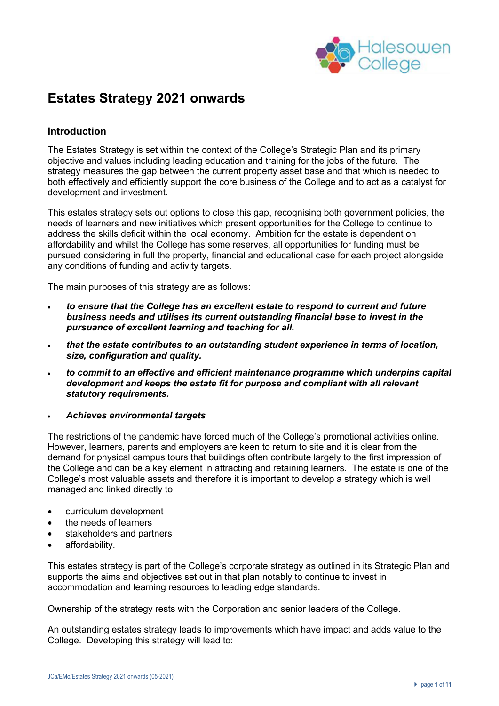

# **Estates Strategy 2021 onwards**

### **Introduction**

The Estates Strategy is set within the context of the College's Strategic Plan and its primary objective and values including leading education and training for the jobs of the future. The strategy measures the gap between the current property asset base and that which is needed to both effectively and efficiently support the core business of the College and to act as a catalyst for development and investment.

This estates strategy sets out options to close this gap, recognising both government policies, the needs of learners and new initiatives which present opportunities for the College to continue to address the skills deficit within the local economy. Ambition for the estate is dependent on affordability and whilst the College has some reserves, all opportunities for funding must be pursued considering in full the property, financial and educational case for each project alongside any conditions of funding and activity targets.

The main purposes of this strategy are as follows:

- *to ensure that the College has an excellent estate to respond to current and future business needs and utilises its current outstanding financial base to invest in the pursuance of excellent learning and teaching for all.*
- *that the estate contributes to an outstanding student experience in terms of location, size, configuration and quality.*
- *to commit to an effective and efficient maintenance programme which underpins capital development and keeps the estate fit for purpose and compliant with all relevant statutory requirements.*

#### • *Achieves environmental targets*

The restrictions of the pandemic have forced much of the College's promotional activities online. However, learners, parents and employers are keen to return to site and it is clear from the demand for physical campus tours that buildings often contribute largely to the first impression of the College and can be a key element in attracting and retaining learners. The estate is one of the College's most valuable assets and therefore it is important to develop a strategy which is well managed and linked directly to:

- curriculum development
- the needs of learners
- stakeholders and partners
- affordability.

This estates strategy is part of the College's corporate strategy as outlined in its Strategic Plan and supports the aims and objectives set out in that plan notably to continue to invest in accommodation and learning resources to leading edge standards.

Ownership of the strategy rests with the Corporation and senior leaders of the College.

An outstanding estates strategy leads to improvements which have impact and adds value to the College. Developing this strategy will lead to: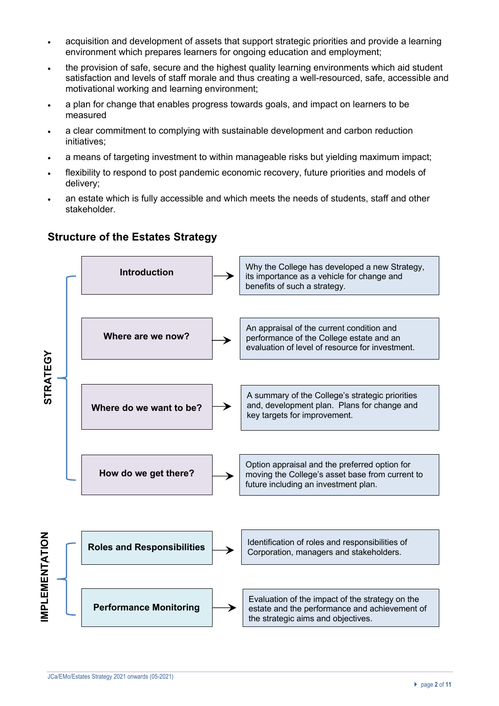- acquisition and development of assets that support strategic priorities and provide a learning environment which prepares learners for ongoing education and employment;
- the provision of safe, secure and the highest quality learning environments which aid student satisfaction and levels of staff morale and thus creating a well-resourced, safe, accessible and motivational working and learning environment;
- a plan for change that enables progress towards goals, and impact on learners to be measured
- a clear commitment to complying with sustainable development and carbon reduction initiatives;
- a means of targeting investment to within manageable risks but yielding maximum impact;
- flexibility to respond to post pandemic economic recovery, future priorities and models of delivery;
- an estate which is fully accessible and which meets the needs of students, staff and other stakeholder.



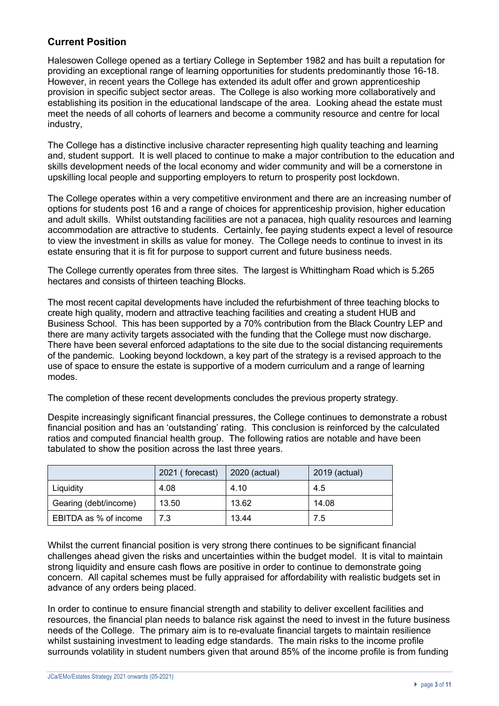## **Current Position**

Halesowen College opened as a tertiary College in September 1982 and has built a reputation for providing an exceptional range of learning opportunities for students predominantly those 16-18. However, in recent years the College has extended its adult offer and grown apprenticeship provision in specific subject sector areas. The College is also working more collaboratively and establishing its position in the educational landscape of the area. Looking ahead the estate must meet the needs of all cohorts of learners and become a community resource and centre for local industry,

The College has a distinctive inclusive character representing high quality teaching and learning and, student support. It is well placed to continue to make a major contribution to the education and skills development needs of the local economy and wider community and will be a cornerstone in upskilling local people and supporting employers to return to prosperity post lockdown.

The College operates within a very competitive environment and there are an increasing number of options for students post 16 and a range of choices for apprenticeship provision, higher education and adult skills. Whilst outstanding facilities are not a panacea, high quality resources and learning accommodation are attractive to students. Certainly, fee paying students expect a level of resource to view the investment in skills as value for money. The College needs to continue to invest in its estate ensuring that it is fit for purpose to support current and future business needs.

The College currently operates from three sites. The largest is Whittingham Road which is 5.265 hectares and consists of thirteen teaching Blocks.

The most recent capital developments have included the refurbishment of three teaching blocks to create high quality, modern and attractive teaching facilities and creating a student HUB and Business School. This has been supported by a 70% contribution from the Black Country LEP and there are many activity targets associated with the funding that the College must now discharge. There have been several enforced adaptations to the site due to the social distancing requirements of the pandemic. Looking beyond lockdown, a key part of the strategy is a revised approach to the use of space to ensure the estate is supportive of a modern curriculum and a range of learning modes.

The completion of these recent developments concludes the previous property strategy.

Despite increasingly significant financial pressures, the College continues to demonstrate a robust financial position and has an 'outstanding' rating. This conclusion is reinforced by the calculated ratios and computed financial health group. The following ratios are notable and have been tabulated to show the position across the last three years.

|                       | 2021 (forecast) | 2020 (actual) | 2019 (actual) |
|-----------------------|-----------------|---------------|---------------|
| Liquidity             | 4.08            | 4.10          | 4.5           |
| Gearing (debt/income) | 13.50           | 13.62         | 14.08         |
| EBITDA as % of income | 7.3             | 13.44         | 7.5           |

Whilst the current financial position is very strong there continues to be significant financial challenges ahead given the risks and uncertainties within the budget model. It is vital to maintain strong liquidity and ensure cash flows are positive in order to continue to demonstrate going concern. All capital schemes must be fully appraised for affordability with realistic budgets set in advance of any orders being placed.

In order to continue to ensure financial strength and stability to deliver excellent facilities and resources, the financial plan needs to balance risk against the need to invest in the future business needs of the College. The primary aim is to re-evaluate financial targets to maintain resilience whilst sustaining investment to leading edge standards. The main risks to the income profile surrounds volatility in student numbers given that around 85% of the income profile is from funding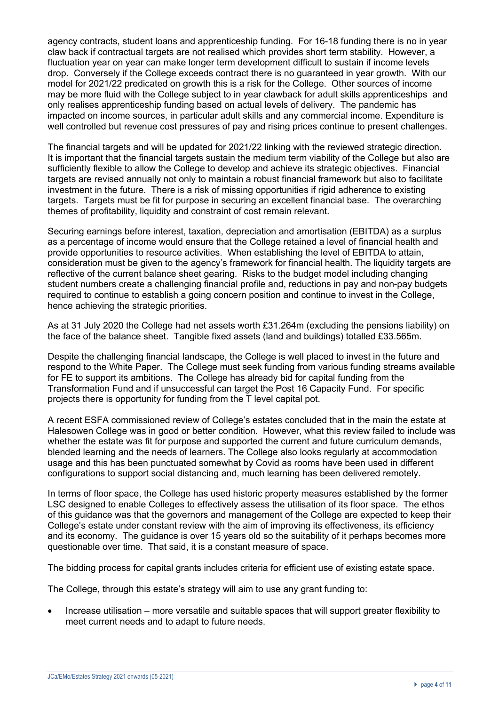agency contracts, student loans and apprenticeship funding. For 16-18 funding there is no in year claw back if contractual targets are not realised which provides short term stability. However, a fluctuation year on year can make longer term development difficult to sustain if income levels drop. Conversely if the College exceeds contract there is no guaranteed in year growth. With our model for 2021/22 predicated on growth this is a risk for the College. Other sources of income may be more fluid with the College subject to in year clawback for adult skills apprenticeships and only realises apprenticeship funding based on actual levels of delivery. The pandemic has impacted on income sources, in particular adult skills and any commercial income. Expenditure is well controlled but revenue cost pressures of pay and rising prices continue to present challenges.

The financial targets and will be updated for 2021/22 linking with the reviewed strategic direction. It is important that the financial targets sustain the medium term viability of the College but also are sufficiently flexible to allow the College to develop and achieve its strategic objectives. Financial targets are revised annually not only to maintain a robust financial framework but also to facilitate investment in the future. There is a risk of missing opportunities if rigid adherence to existing targets. Targets must be fit for purpose in securing an excellent financial base. The overarching themes of profitability, liquidity and constraint of cost remain relevant.

Securing earnings before interest, taxation, depreciation and amortisation (EBITDA) as a surplus as a percentage of income would ensure that the College retained a level of financial health and provide opportunities to resource activities. When establishing the level of EBITDA to attain, consideration must be given to the agency's framework for financial health. The liquidity targets are reflective of the current balance sheet gearing. Risks to the budget model including changing student numbers create a challenging financial profile and, reductions in pay and non-pay budgets required to continue to establish a going concern position and continue to invest in the College, hence achieving the strategic priorities.

As at 31 July 2020 the College had net assets worth £31.264m (excluding the pensions liability) on the face of the balance sheet. Tangible fixed assets (land and buildings) totalled £33.565m.

Despite the challenging financial landscape, the College is well placed to invest in the future and respond to the White Paper. The College must seek funding from various funding streams available for FE to support its ambitions. The College has already bid for capital funding from the Transformation Fund and if unsuccessful can target the Post 16 Capacity Fund. For specific projects there is opportunity for funding from the T level capital pot.

A recent ESFA commissioned review of College's estates concluded that in the main the estate at Halesowen College was in good or better condition. However, what this review failed to include was whether the estate was fit for purpose and supported the current and future curriculum demands, blended learning and the needs of learners. The College also looks regularly at accommodation usage and this has been punctuated somewhat by Covid as rooms have been used in different configurations to support social distancing and, much learning has been delivered remotely.

In terms of floor space, the College has used historic property measures established by the former LSC designed to enable Colleges to effectively assess the utilisation of its floor space. The ethos of this guidance was that the governors and management of the College are expected to keep their College's estate under constant review with the aim of improving its effectiveness, its efficiency and its economy. The guidance is over 15 years old so the suitability of it perhaps becomes more questionable over time. That said, it is a constant measure of space.

The bidding process for capital grants includes criteria for efficient use of existing estate space.

The College, through this estate's strategy will aim to use any grant funding to:

• Increase utilisation – more versatile and suitable spaces that will support greater flexibility to meet current needs and to adapt to future needs.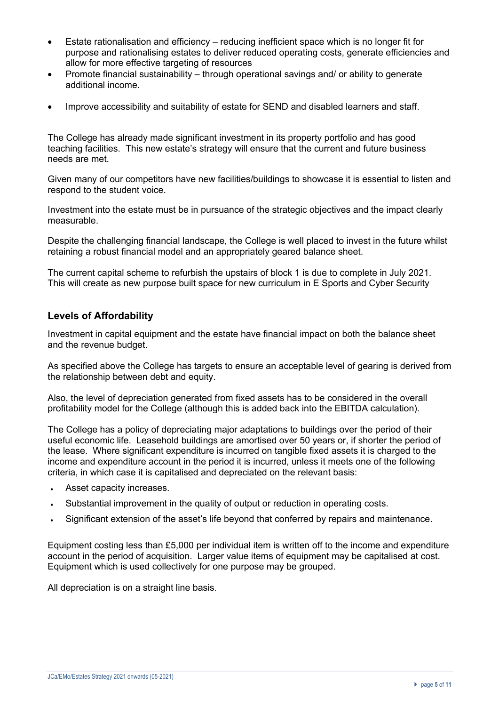- Estate rationalisation and efficiency reducing inefficient space which is no longer fit for purpose and rationalising estates to deliver reduced operating costs, generate efficiencies and allow for more effective targeting of resources
- Promote financial sustainability through operational savings and/ or ability to generate additional income.
- Improve accessibility and suitability of estate for SEND and disabled learners and staff.

The College has already made significant investment in its property portfolio and has good teaching facilities. This new estate's strategy will ensure that the current and future business needs are met.

Given many of our competitors have new facilities/buildings to showcase it is essential to listen and respond to the student voice.

Investment into the estate must be in pursuance of the strategic objectives and the impact clearly measurable.

Despite the challenging financial landscape, the College is well placed to invest in the future whilst retaining a robust financial model and an appropriately geared balance sheet.

The current capital scheme to refurbish the upstairs of block 1 is due to complete in July 2021. This will create as new purpose built space for new curriculum in E Sports and Cyber Security

#### **Levels of Affordability**

Investment in capital equipment and the estate have financial impact on both the balance sheet and the revenue budget.

As specified above the College has targets to ensure an acceptable level of gearing is derived from the relationship between debt and equity.

Also, the level of depreciation generated from fixed assets has to be considered in the overall profitability model for the College (although this is added back into the EBITDA calculation).

The College has a policy of depreciating major adaptations to buildings over the period of their useful economic life. Leasehold buildings are amortised over 50 years or, if shorter the period of the lease. Where significant expenditure is incurred on tangible fixed assets it is charged to the income and expenditure account in the period it is incurred, unless it meets one of the following criteria, in which case it is capitalised and depreciated on the relevant basis:

- Asset capacity increases.
- Substantial improvement in the quality of output or reduction in operating costs.
- Significant extension of the asset's life beyond that conferred by repairs and maintenance.

Equipment costing less than £5,000 per individual item is written off to the income and expenditure account in the period of acquisition. Larger value items of equipment may be capitalised at cost. Equipment which is used collectively for one purpose may be grouped.

All depreciation is on a straight line basis.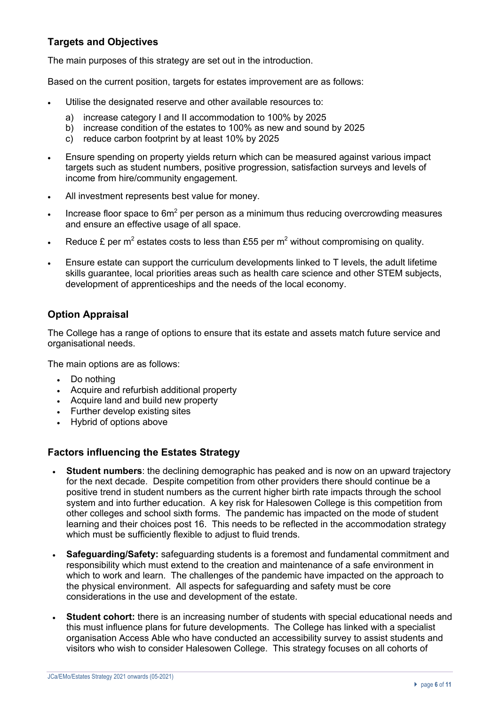# **Targets and Objectives**

The main purposes of this strategy are set out in the introduction.

Based on the current position, targets for estates improvement are as follows:

- Utilise the designated reserve and other available resources to:
	- a) increase category I and II accommodation to 100% by 2025
	- b) increase condition of the estates to 100% as new and sound by 2025
	- c) reduce carbon footprint by at least 10% by 2025
- Ensure spending on property yields return which can be measured against various impact targets such as student numbers, positive progression, satisfaction surveys and levels of income from hire/community engagement.
- All investment represents best value for money.
- Increase floor space to  $6m^2$  per person as a minimum thus reducing overcrowding measures and ensure an effective usage of all space.
- Reduce £ per m<sup>2</sup> estates costs to less than £55 per m<sup>2</sup> without compromising on quality.
- Ensure estate can support the curriculum developments linked to T levels, the adult lifetime skills guarantee, local priorities areas such as health care science and other STEM subjects, development of apprenticeships and the needs of the local economy.

## **Option Appraisal**

The College has a range of options to ensure that its estate and assets match future service and organisational needs.

The main options are as follows:

- Do nothing
- Acquire and refurbish additional property
- Acquire land and build new property
- Further develop existing sites
- Hybrid of options above

## **Factors influencing the Estates Strategy**

- **Student numbers**: the declining demographic has peaked and is now on an upward trajectory for the next decade. Despite competition from other providers there should continue be a positive trend in student numbers as the current higher birth rate impacts through the school system and into further education. A key risk for Halesowen College is this competition from other colleges and school sixth forms. The pandemic has impacted on the mode of student learning and their choices post 16. This needs to be reflected in the accommodation strategy which must be sufficiently flexible to adjust to fluid trends.
- **Safeguarding/Safety:** safeguarding students is a foremost and fundamental commitment and responsibility which must extend to the creation and maintenance of a safe environment in which to work and learn. The challenges of the pandemic have impacted on the approach to the physical environment. All aspects for safeguarding and safety must be core considerations in the use and development of the estate.
- **Student cohort:** there is an increasing number of students with special educational needs and this must influence plans for future developments. The College has linked with a specialist organisation Access Able who have conducted an accessibility survey to assist students and visitors who wish to consider Halesowen College. This strategy focuses on all cohorts of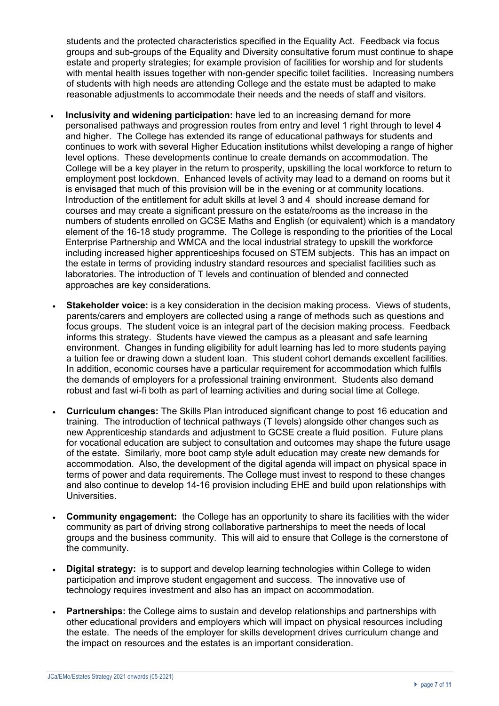students and the protected characteristics specified in the Equality Act. Feedback via focus groups and sub-groups of the Equality and Diversity consultative forum must continue to shape estate and property strategies; for example provision of facilities for worship and for students with mental health issues together with non-gender specific toilet facilities. Increasing numbers of students with high needs are attending College and the estate must be adapted to make reasonable adjustments to accommodate their needs and the needs of staff and visitors.

- **Inclusivity and widening participation:** have led to an increasing demand for more personalised pathways and progression routes from entry and level 1 right through to level 4 and higher. The College has extended its range of educational pathways for students and continues to work with several Higher Education institutions whilst developing a range of higher level options. These developments continue to create demands on accommodation. The College will be a key player in the return to prosperity, upskilling the local workforce to return to employment post lockdown. Enhanced levels of activity may lead to a demand on rooms but it is envisaged that much of this provision will be in the evening or at community locations. Introduction of the entitlement for adult skills at level 3 and 4 should increase demand for courses and may create a significant pressure on the estate/rooms as the increase in the numbers of students enrolled on GCSE Maths and English (or equivalent) which is a mandatory element of the 16-18 study programme. The College is responding to the priorities of the Local Enterprise Partnership and WMCA and the local industrial strategy to upskill the workforce including increased higher apprenticeships focused on STEM subjects. This has an impact on the estate in terms of providing industry standard resources and specialist facilities such as laboratories. The introduction of T levels and continuation of blended and connected approaches are key considerations.
- **Stakeholder voice:** is a key consideration in the decision making process. Views of students, parents/carers and employers are collected using a range of methods such as questions and focus groups. The student voice is an integral part of the decision making process. Feedback informs this strategy. Students have viewed the campus as a pleasant and safe learning environment. Changes in funding eligibility for adult learning has led to more students paying a tuition fee or drawing down a student loan. This student cohort demands excellent facilities. In addition, economic courses have a particular requirement for accommodation which fulfils the demands of employers for a professional training environment. Students also demand robust and fast wi-fi both as part of learning activities and during social time at College.
- **Curriculum changes:** The Skills Plan introduced significant change to post 16 education and training. The introduction of technical pathways (T levels) alongside other changes such as new Apprenticeship standards and adjustment to GCSE create a fluid position. Future plans for vocational education are subject to consultation and outcomes may shape the future usage of the estate. Similarly, more boot camp style adult education may create new demands for accommodation. Also, the development of the digital agenda will impact on physical space in terms of power and data requirements. The College must invest to respond to these changes and also continue to develop 14-16 provision including EHE and build upon relationships with Universities.
- **Community engagement:** the College has an opportunity to share its facilities with the wider community as part of driving strong collaborative partnerships to meet the needs of local groups and the business community. This will aid to ensure that College is the cornerstone of the community.
- **Digital strategy:** is to support and develop learning technologies within College to widen participation and improve student engagement and success. The innovative use of technology requires investment and also has an impact on accommodation.
- **Partnerships:** the College aims to sustain and develop relationships and partnerships with other educational providers and employers which will impact on physical resources including the estate. The needs of the employer for skills development drives curriculum change and the impact on resources and the estates is an important consideration.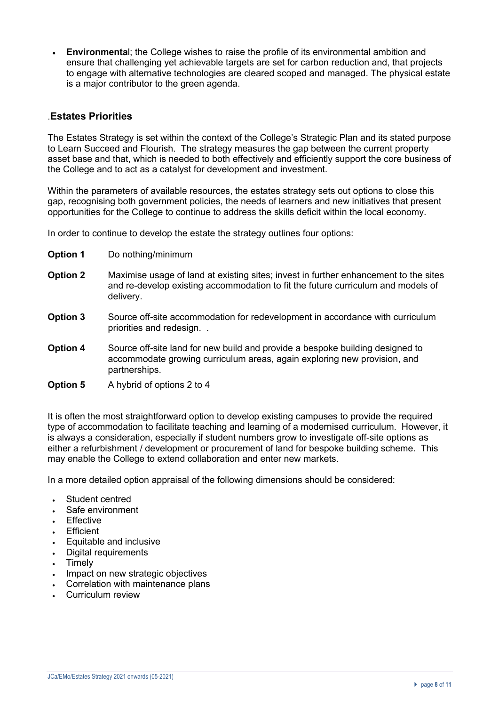• **Environmenta**l; the College wishes to raise the profile of its environmental ambition and ensure that challenging yet achievable targets are set for carbon reduction and, that projects to engage with alternative technologies are cleared scoped and managed. The physical estate is a major contributor to the green agenda.

### .**Estates Priorities**

The Estates Strategy is set within the context of the College's Strategic Plan and its stated purpose to Learn Succeed and Flourish. The strategy measures the gap between the current property asset base and that, which is needed to both effectively and efficiently support the core business of the College and to act as a catalyst for development and investment.

Within the parameters of available resources, the estates strategy sets out options to close this gap, recognising both government policies, the needs of learners and new initiatives that present opportunities for the College to continue to address the skills deficit within the local economy.

In order to continue to develop the estate the strategy outlines four options:

- **Option 1** Do nothing/minimum
- **Option 2** Maximise usage of land at existing sites; invest in further enhancement to the sites and re-develop existing accommodation to fit the future curriculum and models of delivery.
- **Option 3** Source off-site accommodation for redevelopment in accordance with curriculum priorities and redesign. .
- **Option 4** Source off-site land for new build and provide a bespoke building designed to accommodate growing curriculum areas, again exploring new provision, and partnerships.
- **Option 5** A hybrid of options 2 to 4

It is often the most straightforward option to develop existing campuses to provide the required type of accommodation to facilitate teaching and learning of a modernised curriculum. However, it is always a consideration, especially if student numbers grow to investigate off-site options as either a refurbishment / development or procurement of land for bespoke building scheme. This may enable the College to extend collaboration and enter new markets.

In a more detailed option appraisal of the following dimensions should be considered:

- Student centred
- Safe environment
- **Fffective**
- **Efficient**
- Equitable and inclusive
- Digital requirements
- **Timely**
- Impact on new strategic objectives
- Correlation with maintenance plans
- Curriculum review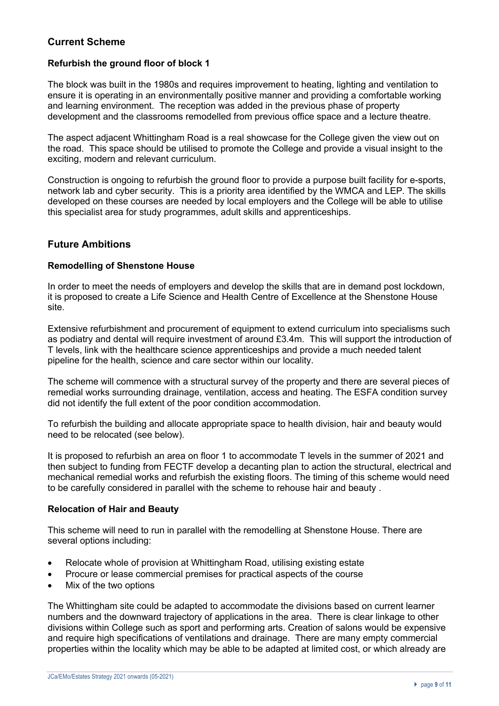## **Current Scheme**

#### **Refurbish the ground floor of block 1**

The block was built in the 1980s and requires improvement to heating, lighting and ventilation to ensure it is operating in an environmentally positive manner and providing a comfortable working and learning environment. The reception was added in the previous phase of property development and the classrooms remodelled from previous office space and a lecture theatre.

The aspect adjacent Whittingham Road is a real showcase for the College given the view out on the road. This space should be utilised to promote the College and provide a visual insight to the exciting, modern and relevant curriculum.

Construction is ongoing to refurbish the ground floor to provide a purpose built facility for e-sports, network lab and cyber security. This is a priority area identified by the WMCA and LEP. The skills developed on these courses are needed by local employers and the College will be able to utilise this specialist area for study programmes, adult skills and apprenticeships.

#### **Future Ambitions**

#### **Remodelling of Shenstone House**

In order to meet the needs of employers and develop the skills that are in demand post lockdown, it is proposed to create a Life Science and Health Centre of Excellence at the Shenstone House site.

Extensive refurbishment and procurement of equipment to extend curriculum into specialisms such as podiatry and dental will require investment of around £3.4m. This will support the introduction of T levels, link with the healthcare science apprenticeships and provide a much needed talent pipeline for the health, science and care sector within our locality.

The scheme will commence with a structural survey of the property and there are several pieces of remedial works surrounding drainage, ventilation, access and heating. The ESFA condition survey did not identify the full extent of the poor condition accommodation.

To refurbish the building and allocate appropriate space to health division, hair and beauty would need to be relocated (see below).

It is proposed to refurbish an area on floor 1 to accommodate T levels in the summer of 2021 and then subject to funding from FECTF develop a decanting plan to action the structural, electrical and mechanical remedial works and refurbish the existing floors. The timing of this scheme would need to be carefully considered in parallel with the scheme to rehouse hair and beauty .

#### **Relocation of Hair and Beauty**

This scheme will need to run in parallel with the remodelling at Shenstone House. There are several options including:

- Relocate whole of provision at Whittingham Road, utilising existing estate
- Procure or lease commercial premises for practical aspects of the course
- Mix of the two options

The Whittingham site could be adapted to accommodate the divisions based on current learner numbers and the downward trajectory of applications in the area. There is clear linkage to other divisions within College such as sport and performing arts. Creation of salons would be expensive and require high specifications of ventilations and drainage. There are many empty commercial properties within the locality which may be able to be adapted at limited cost, or which already are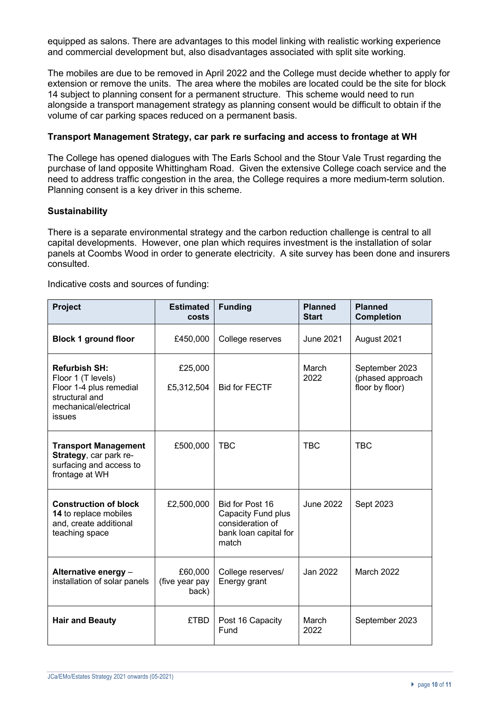equipped as salons. There are advantages to this model linking with realistic working experience and commercial development but, also disadvantages associated with split site working.

The mobiles are due to be removed in April 2022 and the College must decide whether to apply for extension or remove the units. The area where the mobiles are located could be the site for block 14 subject to planning consent for a permanent structure. This scheme would need to run alongside a transport management strategy as planning consent would be difficult to obtain if the volume of car parking spaces reduced on a permanent basis.

#### **Transport Management Strategy, car park re surfacing and access to frontage at WH**

The College has opened dialogues with The Earls School and the Stour Vale Trust regarding the purchase of land opposite Whittingham Road. Given the extensive College coach service and the need to address traffic congestion in the area, the College requires a more medium-term solution. Planning consent is a key driver in this scheme.

#### **Sustainability**

There is a separate environmental strategy and the carbon reduction challenge is central to all capital developments. However, one plan which requires investment is the installation of solar panels at Coombs Wood in order to generate electricity. A site survey has been done and insurers consulted.

Indicative costs and sources of funding:

| Project                                                                                                                    | <b>Estimated</b><br>costs          | <b>Funding</b>                                                                              | <b>Planned</b><br><b>Start</b> | <b>Planned</b><br><b>Completion</b>                   |
|----------------------------------------------------------------------------------------------------------------------------|------------------------------------|---------------------------------------------------------------------------------------------|--------------------------------|-------------------------------------------------------|
| <b>Block 1 ground floor</b>                                                                                                | £450,000                           | College reserves                                                                            | <b>June 2021</b>               | August 2021                                           |
| <b>Refurbish SH:</b><br>Floor 1 (T levels)<br>Floor 1-4 plus remedial<br>structural and<br>mechanical/electrical<br>issues | £25,000<br>£5,312,504              | <b>Bid for FECTF</b>                                                                        | March<br>2022                  | September 2023<br>(phased approach<br>floor by floor) |
| <b>Transport Management</b><br>Strategy, car park re-<br>surfacing and access to<br>frontage at WH                         | £500,000                           | <b>TBC</b>                                                                                  | <b>TBC</b>                     | <b>TBC</b>                                            |
| <b>Construction of block</b><br>14 to replace mobiles<br>and, create additional<br>teaching space                          | £2,500,000                         | Bid for Post 16<br>Capacity Fund plus<br>consideration of<br>bank loan capital for<br>match | <b>June 2022</b>               | Sept 2023                                             |
| Alternative energy -<br>installation of solar panels                                                                       | £60,000<br>(five year pay<br>back) | College reserves/<br>Energy grant                                                           | Jan 2022                       | <b>March 2022</b>                                     |
| <b>Hair and Beauty</b>                                                                                                     | <b>£TBD</b>                        | Post 16 Capacity<br>Fund                                                                    | March<br>2022                  | September 2023                                        |